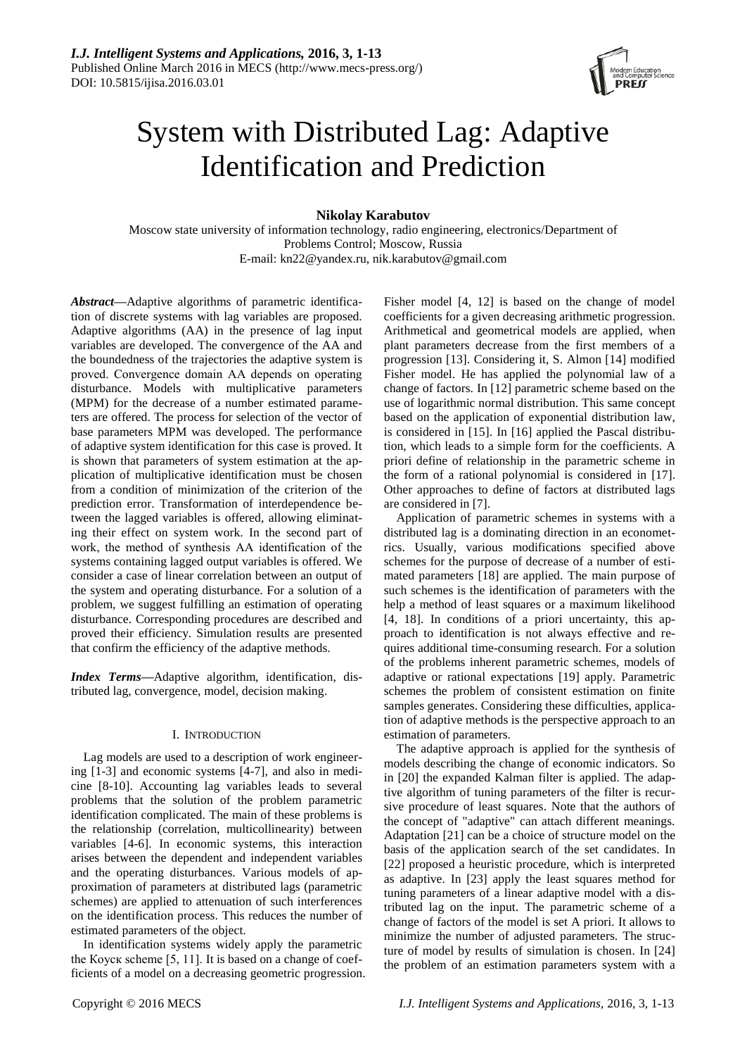

# System with Distributed Lag: Adaptive Identification and Prediction

**Nikolay Karabutov**

Moscow state university of information technology, radio engineering, electronics/Department of Problems Control; Moscow, Russia E-mail: kn22@yandex.ru, nik.karabutov@gmail.com

*Abstract***—**Adaptive algorithms of parametric identification of discrete systems with lag variables are proposed. Adaptive algorithms (AA) in the presence of lag input variables are developed. The convergence of the AA and the boundedness of the trajectories the adaptive system is proved. Convergence domain АА depends on operating disturbance. Models with multiplicative parameters (MPM) for the decrease of a number estimated parameters are offered. The process for selection of the vector of base parameters MPM was developed. The performance of adaptive system identification for this case is proved. It is shown that parameters of system estimation at the application of multiplicative identification must be chosen from a condition of minimization of the criterion of the prediction error. Transformation of interdependence between the lagged variables is offered, allowing eliminating their effect on system work. In the second part of work, the method of synthesis АА identification of the systems containing lagged output variables is offered. We consider a case of linear correlation between an output of the system and operating disturbance. For a solution of a problem, we suggest fulfilling an estimation of operating disturbance. Corresponding procedures are described and proved their efficiency. Simulation results are presented that confirm the efficiency of the adaptive methods.

*Index Terms***—**Adaptive algorithm, identification, distributed lag, convergence, model, decision making.

# I. INTRODUCTION

Lag models are used to a description of work engineering [1-3] and economic systems [4-7], and also in medicine [8-10]. Accounting lag variables leads to several problems that the solution of the problem parametric identification complicated. The main of these problems is the relationship (correlation, multicollinearity) between variables [4-6]. In economic systems, this interaction arises between the dependent and independent variables and the operating disturbances. Various models of approximation of parameters at distributed lags (parametric schemes) are applied to attenuation of such interferences on the identification process. This reduces the number of estimated parameters of the object.

In identification systems widely apply the parametric the Коуск scheme [5, 11]. It is based on a change of coefficients of a model on a decreasing geometric progression. Fisher model [4, 12] is based on the change of model coefficients for a given decreasing arithmetic progression. Arithmetical and geometrical models are applied, when plant parameters decrease from the first members of a progression [13]. Considering it, S. Almon [14] modified Fisher model. He has applied the polynomial law of a change of factors. In [12] parametric scheme based on the use of logarithmic normal distribution. This same concept based on the application of exponential distribution law, is considered in [15]. In [16] applied the Pascal distribution, which leads to a simple form for the coefficients. A priori define of relationship in the parametric scheme in the form of a rational polynomial is considered in [17]. Other approaches to define of factors at distributed lags are considered in [7].

Application of parametric schemes in systems with a distributed lag is a dominating direction in an econometrics. Usually, various modifications specified above schemes for the purpose of decrease of a number of estimated parameters [18] are applied. The main purpose of such schemes is the identification of parameters with the help a method of least squares or a maximum likelihood [4, 18]. In conditions of a priori uncertainty, this approach to identification is not always effective and requires additional time-consuming research. For a solution of the problems inherent parametric schemes, models of adaptive or rational expectations [19] apply. Parametric schemes the problem of consistent estimation on finite samples generates. Considering these difficulties, application of adaptive methods is the perspective approach to an estimation of parameters.

The adaptive approach is applied for the synthesis of models describing the change of economic indicators. So in [20] the expanded Kalman filter is applied. The adaptive algorithm of tuning parameters of the filter is recursive procedure of least squares. Note that the authors of the concept of "adaptive" can attach different meanings. Adaptation [21] can be a choice of structure model on the basis of the application search of the set candidates. In [22] proposed a heuristic procedure, which is interpreted as adaptive. In [23] apply the least squares method for tuning parameters of a linear adaptive model with a distributed lag on the input. The parametric scheme of a change of factors of the model is set A priori. It allows to minimize the number of adjusted parameters. The structure of model by results of simulation is chosen. In [24] the problem of an estimation parameters system with a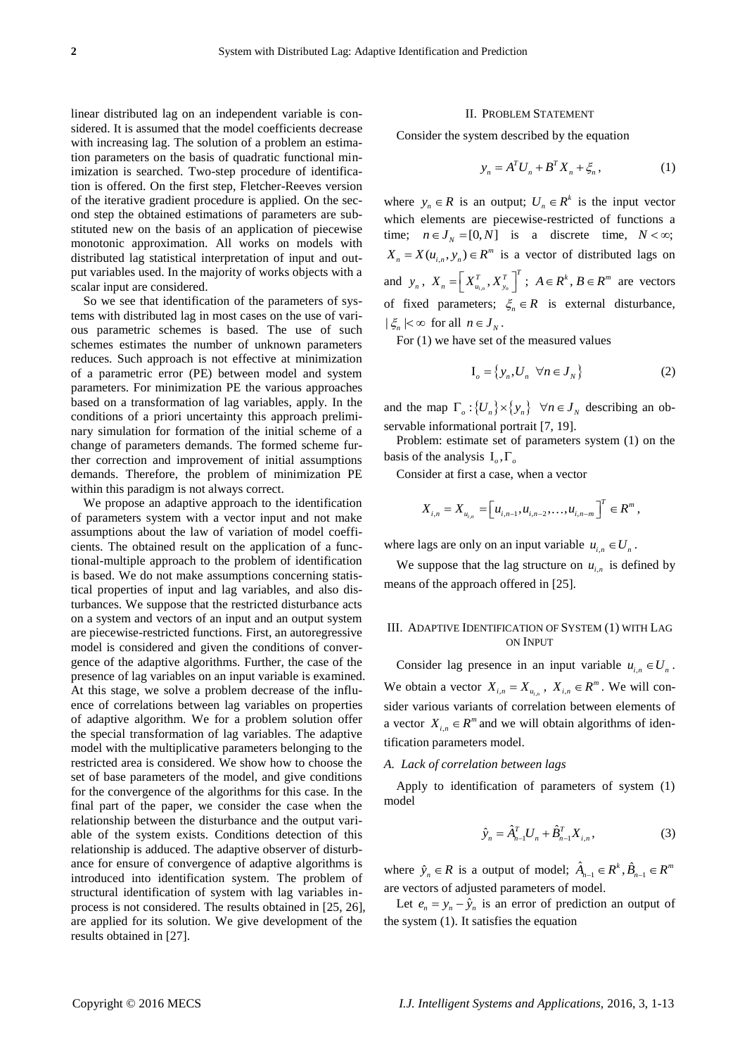linear distributed lag on an independent variable is considered. It is assumed that the model coefficients decrease with increasing lag. The solution of a problem an estimation parameters on the basis of quadratic functional minimization is searched. Two-step procedure of identification is offered. On the first step, Fletcher-Reeves version of the iterative gradient procedure is applied. On the second step the obtained estimations of parameters are substituted new on the basis of an application of piecewise monotonic approximation. All works on models with distributed lag statistical interpretation of input and output variables used. In the majority of works objects with a scalar input are considered.

So we see that identification of the parameters of systems with distributed lag in most cases on the use of various parametric schemes is based. The use of such schemes estimates the number of unknown parameters reduces. Such approach is not effective at minimization of a parametric error (PE) between model and system parameters. For minimization PE the various approaches based on a transformation of lag variables, apply. In the conditions of a priori uncertainty this approach preliminary simulation for formation of the initial scheme of a change of parameters demands. The formed scheme further correction and improvement of initial assumptions demands. Therefore, the problem of minimization PE within this paradigm is not always correct.

We propose an adaptive approach to the identification of parameters system with a vector input and not make assumptions about the law of variation of model coefficients. The obtained result on the application of a functional-multiple approach to the problem of identification is based. We do not make assumptions concerning statistical properties of input and lag variables, and also disturbances. We suppose that the restricted disturbance acts on a system and vectors of an input and an output system are piecewise-restricted functions. First, an autoregressive model is considered and given the conditions of convergence of the adaptive algorithms. Further, the case of the presence of lag variables on an input variable is examined. At this stage, we solve a problem decrease of the influence of correlations between lag variables on properties of adaptive algorithm. We for a problem solution offer the special transformation of lag variables. The adaptive model with the multiplicative parameters belonging to the restricted area is considered. We show how to choose the set of base parameters of the model, and give conditions for the convergence of the algorithms for this case. In the final part of the paper, we consider the case when the relationship between the disturbance and the output variable of the system exists. Conditions detection of this relationship is adduced. The adaptive observer of disturbance for ensure of convergence of adaptive algorithms is introduced into identification system. The problem of structural identification of system with lag variables inprocess is not considered. The results obtained in [25, 26], are applied for its solution. We give development of the results obtained in [27].

#### II. PROBLEM STATEMENT

Consider the system described by the equation

$$
y_n = A^T U_n + B^T X_n + \xi_n, \qquad (1)
$$

where  $y_n \in R$  is an output;  $U_n \in R^k$  is the input vector which elements are piecewise-restricted of functions a time;  $n \in J_N = [0, N]$  is a discrete time,  $N < \infty$ ;  $X_n = X(u_{i,n}, y_n) \in \mathbb{R}^m$  is a vector of distributed lags on and  $y_n$ ,  $X_n = \left| X_{u_{i,n}}^T, X_{y_n}^T \right|$  $X_n = \left[ X_{u_{i,n}}^T, X_{y_n}^T \right]^T$ ;  $A \in \mathbb{R}^k$ ,  $B \in \mathbb{R}^m$  are vectors of fixed parameters;  $\zeta_n \in R$  is external disturbance,  $|\xi_n| < \infty$  for all  $n \in J_N$ .

For (1) we have set of the measured values

$$
\mathbf{I}_o = \left\{ y_n, U_n \quad \forall n \in J_N \right\} \tag{2}
$$

and the map  $\Gamma_o: \{U_n\} \times \{y_n\}$   $\forall n \in J_N$  describing an observable informational portrait [7, 19].

Problem: estimate set of parameters system (1) on the basis of the analysis  $I_o, \Gamma_o$ 

Consider at first a case, when a vector

$$
X_{i,n} = X_{u_{i,n}} = \left[ u_{i,n-1}, u_{i,n-2}, \ldots, u_{i,n-m} \right]^T \in \mathbb{R}^m,
$$

where lags are only on an input variable  $u_{i,n} \in U_n$ .

We suppose that the lag structure on  $u_{i,n}$  is defined by means of the approach offered in [25].

# III. ADAPTIVE IDENTIFICATION OF SYSTEM (1) WITH LAG ON INPUT

Consider lag presence in an input variable  $u_{i,n} \in U_n$ . We obtain a vector  $X_{i,n} = X_{u_{i,n}}$ ,  $X_{i,n} \in \mathbb{R}^m$ . We will consider various variants of correlation between elements of a vector  $X_{i,n} \in \mathbb{R}^m$  and we will obtain algorithms of identification parameters model.

#### *A. Lack of correlation between lags*

Apply to identification of parameters of system (1) model

$$
\hat{y}_n = \hat{A}_{n-1}^T U_n + \hat{B}_{n-1}^T X_{i,n},
$$
\n(3)

where  $\hat{y}_n \in R$  is a output of model;  $\hat{A}_{n-1} \in R^k$ ,  $\hat{B}_{n-1} \in R^m$ are vectors of adjusted parameters of model.

Let  $e_n = y_n - \hat{y}_n$  is an error of prediction an output of the system (1). It satisfies the equation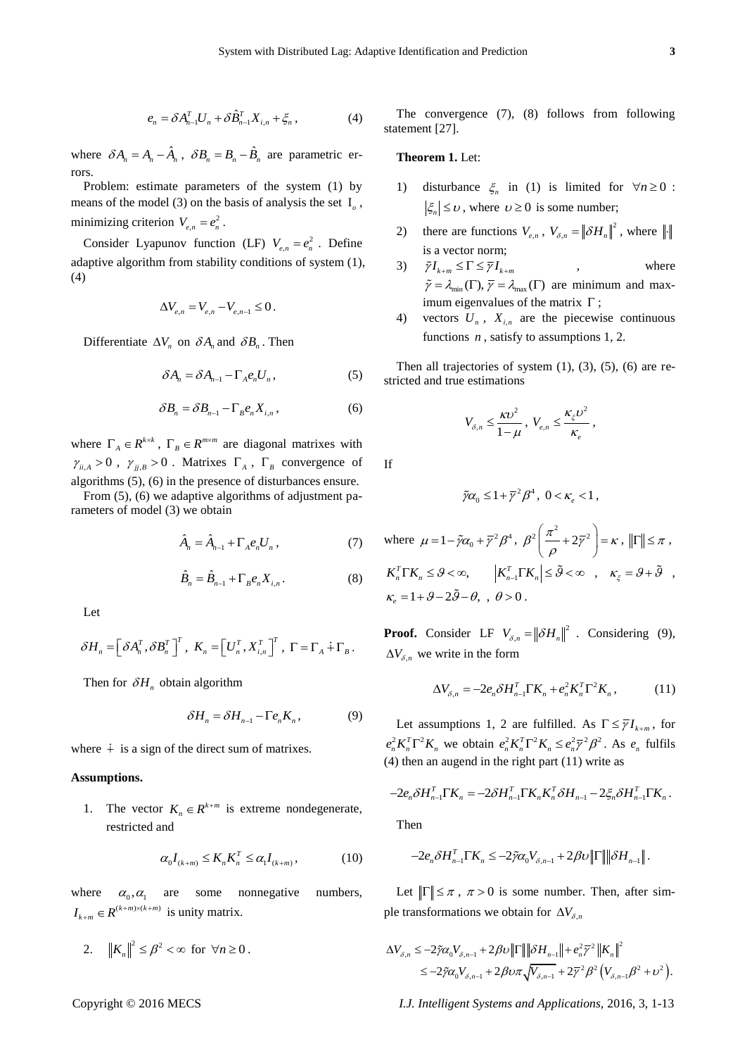$$
e_n = \delta A_{n-1}^T U_n + \delta \hat{B}_{n-1}^T X_{i,n} + \xi_n, \qquad (4)
$$

where  $\delta A_n = A_n - \hat{A}_n$ ,  $\delta B_n = B_n - \hat{B}_n$  are parametric errors.

Problem: estimate parameters of the system (1) by means of the model (3) on the basis of analysis the set  $I_0$ , minimizing criterion  $V_{e,n} = e_n^2$ .

Consider Lyapunov function (LF)  $V_{e,n} = e_n^2$ . Define adaptive algorithm from stability conditions of system (1), (4)

$$
\Delta V_{e,n} = V_{e,n} - V_{e,n-1} \leq 0.
$$

Differentiate  $\Delta V_n$  on  $\delta A_n$  and  $\delta B_n$ . Then

$$
\delta A_n = \delta A_{n-1} - \Gamma_A e_n U_n, \qquad (5)
$$

$$
\delta B_n = \delta B_{n-1} - \Gamma_B e_n X_{i,n}, \qquad (6)
$$

where  $\Gamma_A \in R^{k \times k}$ ,  $\Gamma_B \in R^{m \times m}$  are diagonal matrixes with  $\gamma_{ii,A} > 0$ ,  $\gamma_{jj,B} > 0$ . Matrixes  $\Gamma_A$ ,  $\Gamma_B$  convergence of algorithms (5), (6) in the presence of disturbances ensure.

From (5), (6) we adaptive algorithms of adjustment parameters of model (3) we obtain

$$
\hat{A}_n = \hat{A}_{n-1} + \Gamma_A e_n U_n , \qquad (7)
$$

$$
\hat{B}_n = \hat{B}_{n-1} + \Gamma_B e_n X_{i,n}.
$$
 (8)

Let

$$
\delta H_n = \left[\delta A_n^T, \delta B_n^T\right]^T, \ K_n = \left[U_n^T, X_{i,n}^T\right]^T, \ \Gamma = \Gamma_A + \Gamma_B.
$$

Then for  $\delta H_n$  obtain algorithm

$$
\delta H_n = \delta H_{n-1} - \Gamma e_n K_n, \qquad (9)
$$

where  $\dot{+}$  is a sign of the direct sum of matrixes.

# **Assumptions.**

1. The vector  $K_n \in \mathbb{R}^{k+m}$  is extreme nondegenerate, restricted and

$$
\alpha_0 I_{(k+m)} \le K_n K_n^T \le \alpha_1 I_{(k+m)},\tag{10}
$$

where  $\alpha_0, \alpha_1$ are some nonnegative numbers,  $I_{k+m} \in R^{(k+m)\times (k+m)}$  is unity matrix.

2.  $||K_n||^2 \leq \beta^2 < \infty$  for  $\forall n \geq 0$ .

The convergence (7), (8) follows from following statement [27].

# **Theorem 1.** Let:

- 1) disturbance  $\xi_n$  in (1) is limited for  $\forall n \ge 0$ :  $|\xi_n| \leq \upsilon$ , where  $\upsilon \geq 0$  is some number;
- 2) there are functions  $V_{e,n}$ ,  $V_{\delta,n} = ||\delta H_n||^2$ , where  $||\cdot||$ . is a vector norm;
- 3)  $\tilde{\gamma} I_{k+m} \leq \Gamma \leq \overline{\gamma} I_{k+m}$ , where  $\tilde{\gamma} = \lambda_{\min}(\Gamma), \overline{\gamma} = \lambda_{\max}(\Gamma)$  are minimum and maximum eigenvalues of the matrix  $\Gamma$ ;
- 4) vectors  $U_n$ ,  $X_{i,n}$  are the piecewise continuous functions *n*, satisfy to assumptions 1, 2.

Then all trajectories of system  $(1)$ ,  $(3)$ ,  $(5)$ ,  $(6)$  are restricted and true estimations

$$
V_{\delta,n} \leq \frac{\kappa v^2}{1-\mu}, \ V_{e,n} \leq \frac{\kappa_{\xi}v^2}{\kappa_{e}},
$$

If

$$
\tilde{\gamma}\alpha_0 \leq 1 + \overline{\gamma}^2 \beta^4, \ 0 < \kappa_e < 1 \,,
$$

where 
$$
\mu = 1 - \tilde{\gamma}\alpha_0 + \bar{\gamma}^2 \beta^4
$$
,  $\beta^2 \left(\frac{\pi^2}{\rho} + 2\bar{\gamma}^2\right) = \kappa$ ,  $||\Gamma|| \le \pi$ ,  
\n $K_n^T \Gamma K_n \le \theta < \infty$ ,  $|K_{n-1}^T \Gamma K_n| \le \tilde{\theta} < \infty$ ,  $\kappa_{\xi} = \theta + \tilde{\theta}$ ,  
\n $\kappa_{e} = 1 + \theta - 2\tilde{\theta} - \theta$ ,  $\theta > 0$ .

**Proof.** Consider LF  $V_{\delta,n} = ||\delta H_n||^2$ . Considering (9),  $\Delta V_{\delta,n}$  we write in the form

$$
\Delta V_{\delta,n} = -2e_n \delta H_{n-1}^T \Gamma K_n + e_n^2 K_n^T \Gamma^2 K_n, \qquad (11)
$$

Let assumptions 1, 2 are fulfilled. As  $\Gamma \leq \overline{\gamma} I_{k+m}$ , for  $e_n^2 K_n^T \Gamma^2 K_n$  we obtain  $e_n^2 K_n^T \Gamma^2 K_n \le e_n^2 \overline{\gamma}^2 \beta^2$ . As  $e_n$  fulfils (4) then an augend in the right part (11) write as

$$
-2e_n \delta H_{n-1}^T \Gamma K_n = -2\delta H_{n-1}^T \Gamma K_n K_n^T \delta H_{n-1} - 2\xi_n \delta H_{n-1}^T \Gamma K_n.
$$

Then

$$
-2e_n\delta H_{n-1}^T \Gamma K_n \le -2\tilde{\gamma}\alpha_0 V_{\delta,n-1} + 2\beta v \|\Gamma\| \|\delta H_{n-1}\|.
$$

Let  $\|\Gamma\| \leq \pi$ ,  $\pi > 0$  is some number. Then, after simple transformations we obtain for  $\Delta V_{\delta,n}$ 

$$
\Delta V_{\delta,n} \le -2\tilde{\gamma}\alpha_0 V_{\delta,n-1} + 2\beta v \|\Gamma\| \|\delta H_{n-1}\| + e_n^2 \overline{\gamma}^2 \|K_n\|^2
$$
  

$$
\le -2\tilde{\gamma}\alpha_0 V_{\delta,n-1} + 2\beta v \pi \sqrt{V_{\delta,n-1}} + 2\overline{\gamma}^2 \beta^2 (V_{\delta,n-1}\beta^2 + v^2).
$$

Copyright © 2016 MECS *I.J. Intelligent Systems and Applications,* 2016, 3, 1-13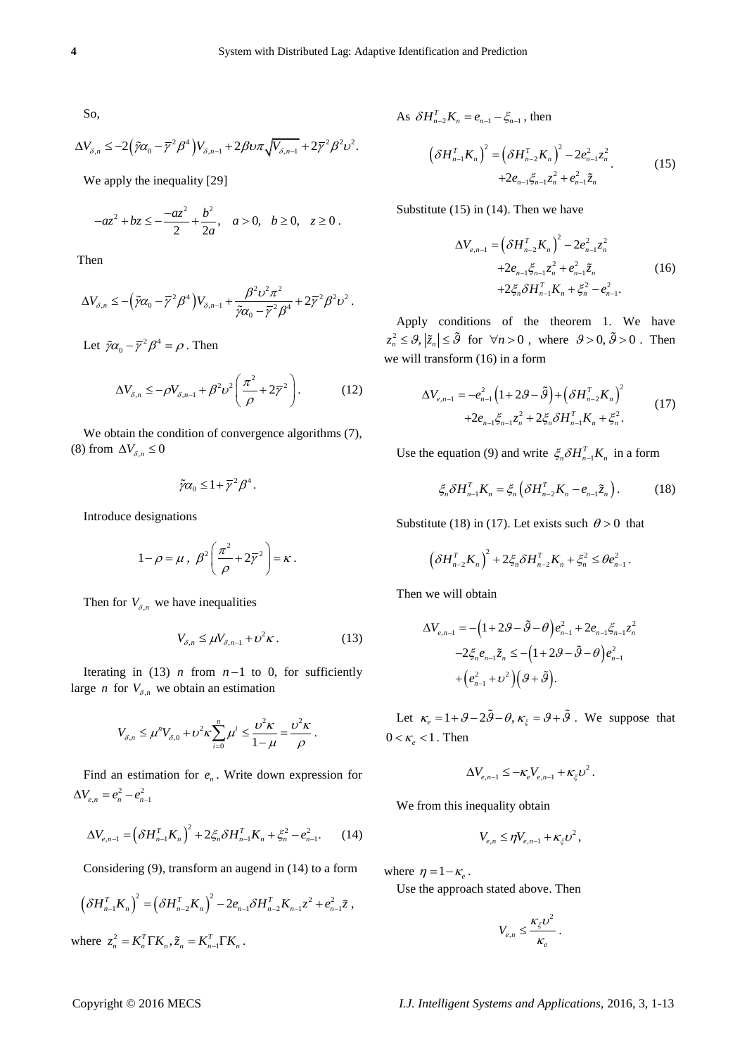So,

$$
\Delta V_{\delta,n} \leq -2\left(\tilde{\gamma}\alpha_0 - \overline{\gamma}^2\beta^4\right)V_{\delta,n-1} + 2\beta\upsilon\pi\sqrt{V_{\delta,n-1}} + 2\overline{\gamma}^2\beta^2\upsilon^2.
$$

We apply the inequality [29]

$$
-az^2 + bz \le -\frac{-az^2}{2} + \frac{b^2}{2a}, \quad a > 0, \quad b \ge 0, \quad z \ge 0.
$$

Then

$$
\Delta V_{\delta,n} \leq -(\tilde{\gamma}\alpha_0 - \overline{\gamma}^2 \beta^4)V_{\delta,n-1} + \frac{\beta^2 \nu^2 \pi^2}{\tilde{\gamma}\alpha_0 - \overline{\gamma}^2 \beta^4} + 2\overline{\gamma}^2 \beta^2 \nu^2.
$$

Let  $\tilde{\gamma}\alpha_0 - \overline{\gamma}^2\beta^4 = \rho$ . Then

$$
\Delta V_{\delta,n} \le -\rho V_{\delta,n-1} + \beta^2 \nu^2 \left(\frac{\pi^2}{\rho} + 2\overline{\gamma}^2\right). \tag{12}
$$

We obtain the condition of convergence algorithms  $(7)$ , (8) from  $\Delta V_{\delta,n} \leq 0$ 

$$
\tilde{\gamma}\alpha_0 \leq 1 + \overline{\gamma}^2 \beta^4.
$$

Introduce designations

$$
1-\rho=\mu\ ,\ \beta^2\bigg(\frac{\pi^2}{\rho}+2\overline{\gamma}^2\bigg)=\kappa\ .
$$

Then for  $V_{\delta,n}$  we have inequalities

$$
V_{\delta,n} \le \mu V_{\delta,n-1} + \nu^2 \kappa \,. \tag{13}
$$

Iterating in (13) *n* from  $n-1$  to 0, for sufficiently large *n* for  $V_{\delta,n}$  we obtain an estimation

$$
V_{\delta,n} \le \mu^n V_{\delta,0} + \nu^2 K \sum_{i=0}^n \mu^i \le \frac{\nu^2 K}{1-\mu} = \frac{\nu^2 K}{\rho}.
$$

Find an estimation for  $e_n$ . Write down expression for  $\Delta V_{e,n} = e_n^2 - e_{n-1}^2$ 

$$
\Delta V_{e,n-1} = \left(\delta H_{n-1}^T K_n\right)^2 + 2\xi_n \delta H_{n-1}^T K_n + \xi_n^2 - e_{n-1}^2. \tag{14}
$$

Considering (9), transform an augend in (14) to a form

$$
\left(\delta H_{n-1}^T K_n\right)^2 = \left(\delta H_{n-2}^T K_n\right)^2 - 2e_{n-1}\delta H_{n-2}^T K_{n-1} z^2 + e_{n-1}^2 \tilde{z} ,
$$
  
where  $z_n^2 = K_n^T \Gamma K_n, \tilde{z}_n = K_{n-1}^T \Gamma K_n.$ 

As  $\delta H_{n-2}^T K_n = e_{n-1} - \xi_{n-1}$ , then

$$
\left(\delta H_{n-1}^T K_n\right)^2 = \left(\delta H_{n-2}^T K_n\right)^2 - 2e_{n-1}^2 z_n^2
$$
\n
$$
+ 2e_{n-1} \xi_{n-1} z_n^2 + e_{n-1}^2 \xi_n \tag{15}
$$

Substitute (15) in (14). Then we have

$$
\Delta V_{e,n-1} = \left(\delta H_{n-2}^T K_n\right)^2 - 2e_{n-1}^2 z_n^2
$$
  
+2e\_{n-1}\xi\_{n-1}z\_n^2 + e\_{n-1}^2 \tilde{z}\_n  
+2\xi\_n \delta H\_{n-1}^T K\_n + \xi\_n^2 - e\_{n-1}^2. (16)

Apply conditions of the theorem 1. We have  $z_n^2 \leq \vartheta$ ,  $|\tilde{z}_n| \leq \tilde{\vartheta}$  for  $\forall n > 0$ , where  $\vartheta > 0$ ,  $\tilde{\vartheta} > 0$ . Then we will transform (16) in a form

$$
\Delta V_{e,n-1} = -e_{n-1}^2 \left( 1 + 2\mathcal{G} - \tilde{\mathcal{G}} \right) + \left( \delta H_{n-2}^T K_n \right)^2
$$
  
+2e\_{n-1} \xi\_{n-1} z\_n^2 + 2 \xi\_n \delta H\_{n-1}^T K\_n + \xi\_n^2. (17)

Use the equation (9) and write  $\zeta_n \delta H_{n-1}^T K_n$  in a form

$$
\xi_n \delta H_{n-1}^T K_n = \xi_n \left( \delta H_{n-2}^T K_n - e_{n-1} \tilde{z}_n \right). \tag{18}
$$

Substitute (18) in (17). Let exists such  $\theta > 0$  that

$$
\left(\delta H_{n-2}^T K_n\right)^2 + 2\xi_n \delta H_{n-2}^T K_n + \xi_n^2 \leq \theta e_{n-1}^2.
$$

Then we will obtain

$$
\Delta V_{e,n-1} = -\left(1 + 2\mathcal{G} - \tilde{\mathcal{G}} - \theta\right)e_{n-1}^2 + 2e_{n-1}\xi_{n-1}z_n^2
$$

$$
-2\xi_n e_{n-1}\tilde{z}_n \le -\left(1 + 2\mathcal{G} - \tilde{\mathcal{G}} - \theta\right)e_{n-1}^2
$$

$$
+\left(e_{n-1}^2 + v^2\right)\left(\mathcal{G} + \tilde{\mathcal{G}}\right).
$$

Let  $\kappa_e = 1 + \mathcal{S} - 2\tilde{\mathcal{S}} - \theta$ ,  $\kappa_{\xi} = \mathcal{S} + \tilde{\mathcal{S}}$ . We suppose that  $0 < \kappa_e < 1$ . Then

$$
\Delta V_{e,n-1} \le -\kappa_e V_{e,n-1} + \kappa_{\xi} v^2.
$$

We from this inequality obtain

$$
V_{e,n} \leq \eta V_{e,n-1} + \kappa_{\xi} \nu^2,
$$

where  $\eta = 1 - \kappa_e$ .

Use the approach stated above. Then

$$
V_{e,n} \leq \frac{\kappa_{\xi} \nu^2}{\kappa_e}.
$$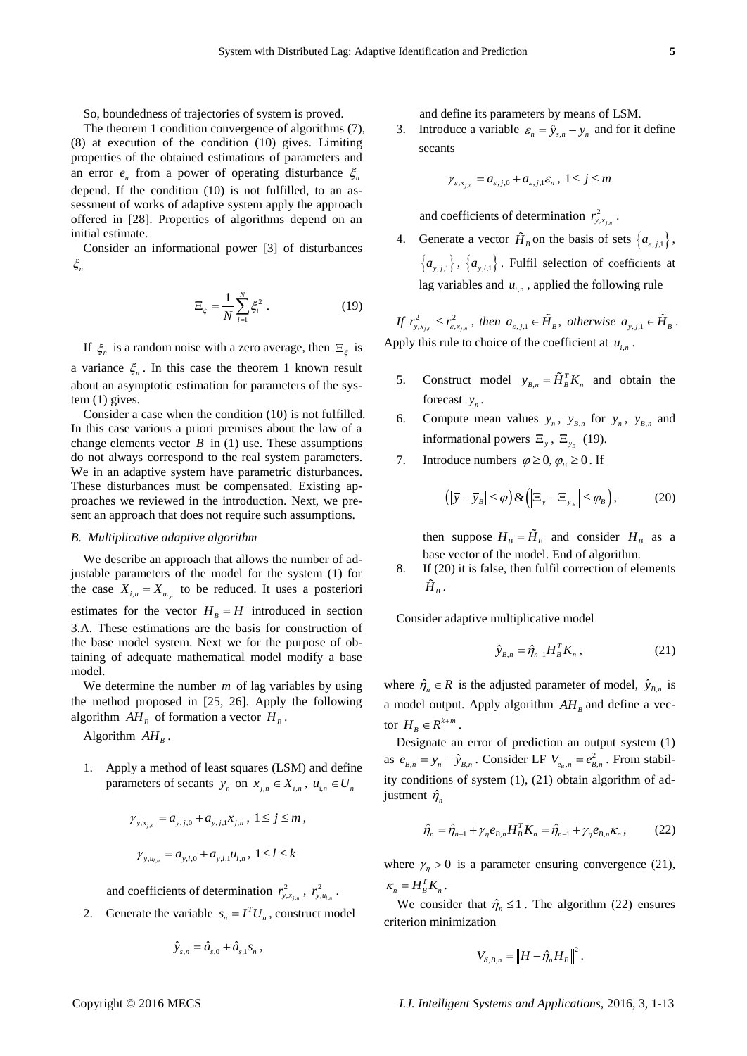So, boundedness of trajectories of system is proved.

The theorem 1 condition convergence of algorithms (7), (8) at execution of the condition (10) gives. Limiting properties of the obtained estimations of parameters and an error  $e_n$  from a power of operating disturbance  $\xi_n$ depend. If the condition (10) is not fulfilled, to an assessment of works of adaptive system apply the approach offered in [28]. Properties of algorithms depend on an initial estimate.

Consider an informational power [3] of disturbances  $\xi_n$ 

$$
\Xi_{\xi} = \frac{1}{N} \sum_{i=1}^{N} \xi_i^2 \tag{19}
$$

If  $\zeta_n$  is a random noise with a zero average, then  $\Xi_\xi$  is a variance  $\xi_n$ . In this case the theorem 1 known result about an asymptotic estimation for parameters of the system (1) gives.

Consider a case when the condition (10) is not fulfilled. In this case various a priori premises about the law of a change elements vector  $B$  in (1) use. These assumptions do not always correspond to the real system parameters. We in an adaptive system have parametric disturbances. These disturbances must be compensated. Existing approaches we reviewed in the introduction. Next, we present an approach that does not require such assumptions.

#### *B. Multiplicative adaptive algorithm*

We describe an approach that allows the number of adjustable parameters of the model for the system (1) for the case  $X_{i,n} = X_{u_{i,n}}$  to be reduced. It uses a posteriori estimates for the vector  $H_B = H$  introduced in section 3.A. These estimations are the basis for construction of the base model system. Next we for the purpose of obtaining of adequate mathematical model modify a base model.

We determine the number  $m$  of lag variables by using the method proposed in [25, 26]. Apply the following algorithm  $AH_B$  of formation a vector  $H_B$ .

Algorithm  $AH_B$ .

1. Apply a method of least squares (LSM) and define parameters of secants  $y_n$  on  $x_{j,n} \in X_{i,n}$ ,  $u_{i,n} \in U_n$ 

$$
\gamma_{y,x_{j,n}} = a_{y,j,0} + a_{y,j,1}x_{j,n}, \ 1 \le j \le m,
$$
  

$$
\gamma_{y,u_{j,n}} = a_{y,l,0} + a_{y,l,1}u_{l,n}, \ 1 \le l \le k
$$

and coefficients of determination  $r_{y,x_i}^2$  $r_{y,x_{i,n}}^2$ ,  $r_{y,u_i}^2$  $r_{y,u_{l,n}}^{2}$ .

2. Generate the variable  $s_n = I^T U_n$ , construct model

$$
\hat{y}_{s,n} = \hat{a}_{s,0} + \hat{a}_{s,1} s_n,
$$

and define its parameters by means of LSM.

3. Introduce a variable  $\varepsilon_n = \hat{y}_{s,n} - y_n$  and for it define secants

$$
\gamma_{\varepsilon,x_{j,n}} = a_{\varepsilon,j,0} + a_{\varepsilon,j,1} \varepsilon_n, \ 1 \le j \le m
$$

and coefficients of determination  $r_{y,x_{j}}^2$  $r_{y, x_{j,n}}^2$ .

4. Generate a vector  $\hat{H}_B$  on the basis of sets  $\{a_{\varepsilon,j,1}\}\,$ ,  ${a_{v,i,1}}$ ,  ${a_{v,i,1}}$ . Fulfil selection of coefficients at lag variables and  $u_{i,n}$ , applied the following rule

*If*  $r_{y,x_{j,n}}^2 \le r_{\varepsilon,x_{j,n}}^2$  $r_{y,x_{j,n}}^2 \le r_{\varepsilon,x_{j,n}}^2$ , then  $a_{\varepsilon,j,1} \in \tilde{H}_B$ , otherwise  $a_{y,j,1} \in \tilde{H}_B$ . Apply this rule to choice of the coefficient at  $u_{i,n}$ .

- 5. Construct model  $y_{B,n} = \tilde{H}_B^T K_n$  and obtain the forecast  $y_n$ .
- 6. Compute mean values  $\overline{y}_n$ ,  $\overline{y}_{B,n}$  for  $y_n$ ,  $y_{B,n}$  and informational powers  $\Xi_y$ ,  $\Xi_{y_B}$  (19).
- 7. Introduce numbers  $\varphi \ge 0$ ,  $\varphi_B \ge 0$ . If

$$
\left( \left| \overline{y} - \overline{y}_B \right| \le \varphi \right) \& \left( \left| \Xi_y - \Xi_{y_B} \right| \le \varphi_B \right),\tag{20}
$$

then suppose  $H_B = \tilde{H}_B$  and consider  $H_B$  as a base vector of the model. End of algorithm.

8. If (20) it is false, then fulfil correction of elements  $H_{\overline{B}}$ .

Consider adaptive multiplicative model

$$
\hat{\mathbf{y}}_{B,n} = \hat{\boldsymbol{\eta}}_{n-1} \boldsymbol{H}_B^T \boldsymbol{K}_n \,, \tag{21}
$$

where  $\hat{\eta}_n \in R$  is the adjusted parameter of model,  $\hat{y}_{B,n}$  is a model output. Apply algorithm  $AH_B$  and define a vector  $H_B \in R^{k+m}$ .

Designate an error of prediction an output system (1) as  $e_{B,n} = y_n - \hat{y}_{B,n}$ . Consider LF  $V_{e_B,n} = e_{B,n}^2$ . From stability conditions of system (1), (21) obtain algorithm of adjustment  $\hat{\eta}_n$ 

$$
\hat{\eta}_n = \hat{\eta}_{n-1} + \gamma_\eta e_{B,n} H_B^T K_n = \hat{\eta}_{n-1} + \gamma_\eta e_{B,n} K_n, \qquad (22)
$$

where  $\gamma_n > 0$  is a parameter ensuring convergence (21),  $\kappa_n = H_B^T K_n$ .

We consider that  $\hat{\eta}_n \leq 1$ . The algorithm (22) ensures criterion minimization

$$
V_{\delta,B,n} = \left\| H - \hat{\eta}_n H_B \right\|^2.
$$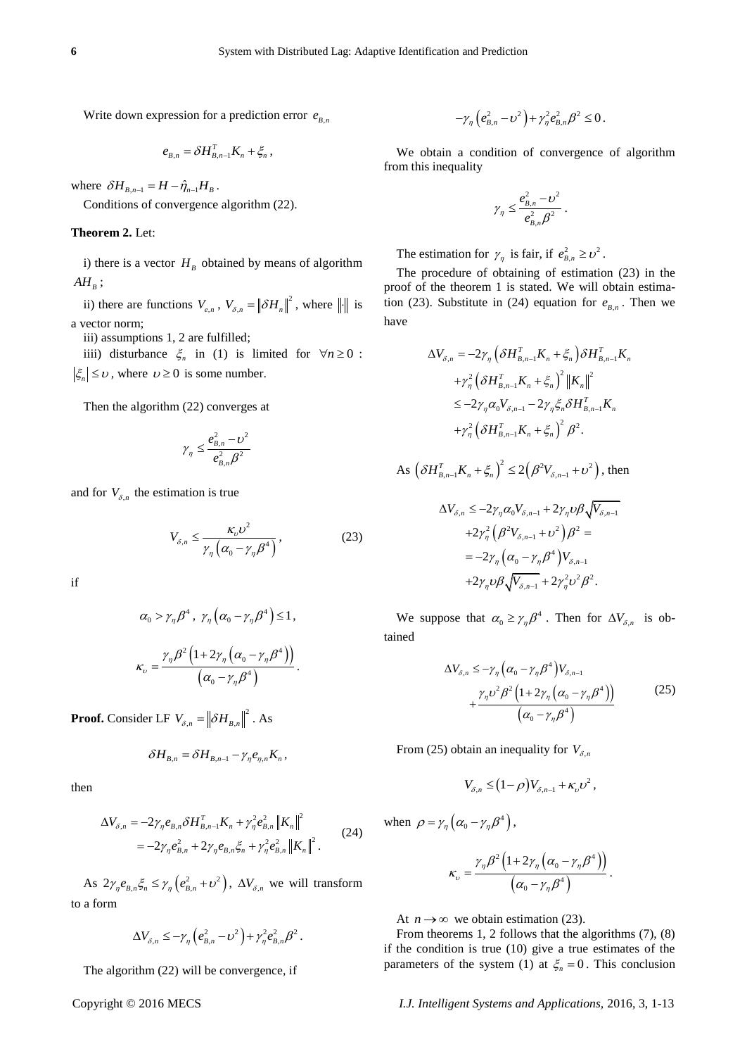Write down expression for a prediction error  $e_{B,n}$ 

$$
e_{B,n} = \delta H_{B,n-1}^T K_n + \xi_n,
$$

where  $\delta H_{B,n-1} = H - \hat{\eta}_{n-1} H_B$ .

Conditions of convergence algorithm (22).

#### **Theorem 2.** Let:

i) there is a vector  $H_B$  obtained by means of algorithm  $AH_B$ ;

ii) there are functions  $V_{e,n}$ ,  $V_{\delta,n} = ||\delta H_n||^2$ , where  $||\cdot||$  is a vector norm;

iii) assumptions 1, 2 are fulfilled;

iiii) disturbance  $\xi_n$  in (1) is limited for  $\forall n \ge 0$ :  $\zeta_n \leq v$ , where  $v \geq 0$  is some number.

Then the algorithm (22) converges at

$$
\gamma_\eta \leq \frac{e_{B,n}^2 - \upsilon^2}{e_{B,n}^2 \beta^2}
$$

and for  $V_{\delta,n}$  the estimation is true

$$
V_{\delta,n} \le \frac{\kappa_{\rm o} v^2}{\gamma_{\eta} \left( \alpha_{\rm o} - \gamma_{\eta} \beta^4 \right)},\tag{23}
$$

if

$$
\alpha_0 > \gamma_{\eta} \beta^4, \ \gamma_{\eta} (\alpha_0 - \gamma_{\eta} \beta^4) \le 1,
$$
  

$$
\kappa_{\nu} = \frac{\gamma_{\eta} \beta^2 (1 + 2\gamma_{\eta} (\alpha_0 - \gamma_{\eta} \beta^4))}{(\alpha_0 - \gamma_{\eta} \beta^4)}.
$$

**Proof.** Consider LF  $V_{\delta,n} = ||\delta H_{B,n}||^2$ . As

$$
\delta H_{B,n} = \delta H_{B,n-1} - \gamma_{\eta} e_{\eta,n} K_n,
$$

then

$$
\Delta V_{\delta,n} = -2\gamma_{\eta} e_{B,n} \delta H_{B,n-1}^{T} K_{n} + \gamma_{\eta}^{2} e_{B,n}^{2} \|K_{n}\|^{2}
$$
  
= 
$$
-2\gamma_{\eta} e_{B,n}^{2} + 2\gamma_{\eta} e_{B,n} \xi_{n} + \gamma_{\eta}^{2} e_{B,n}^{2} \|K_{n}\|^{2}.
$$
 (24)

As  $2\gamma_{\eta}e_{B,n}\xi_{n} \leq \gamma_{\eta}\left(e_{B,n}^{2} + \nu^{2}\right), \Delta V_{\delta,n}$  we will transform to a form

$$
\Delta V_{\delta,n} \leq -\gamma_{\eta} \left( e_{B,n}^2 - \nu^2 \right) + \gamma_{\eta}^2 e_{B,n}^2 \beta^2.
$$

The algorithm (22) will be convergence, if

$$
-\gamma_{\eta}\left(e_{B,n}^2-\nu^2\right)+\gamma_{\eta}^2e_{B,n}^2\beta^2\leq 0.
$$

We obtain a condition of convergence of algorithm from this inequality

$$
\gamma_{\eta} \leq \frac{e_{B,n}^2 - v^2}{e_{B,n}^2 \beta^2}.
$$

The estimation for  $\gamma_{\eta}$  is fair, if  $e_{B,n}^2 \geq v^2$ .

The procedure of obtaining of estimation (23) in the proof of the theorem 1 is stated. We will obtain estimation (23). Substitute in (24) equation for  $e_{B,n}$ . Then we have

$$
\Delta V_{\delta,n} = -2\gamma_{\eta} \left( \delta H_{B,n-1}^T K_n + \xi_n \right) \delta H_{B,n-1}^T K_n
$$
  
+
$$
\gamma_{\eta}^2 \left( \delta H_{B,n-1}^T K_n + \xi_n \right)^2 \left\| K_n \right\|^2
$$
  

$$
\leq -2\gamma_{\eta} \alpha_0 V_{\delta,n-1} - 2\gamma_{\eta} \xi_n \delta H_{B,n-1}^T K_n
$$
  
+
$$
\gamma_{\eta}^2 \left( \delta H_{B,n-1}^T K_n + \xi_n \right)^2 \beta^2.
$$

As 
$$
\left(\delta H_{B,n-1}^T K_n + \xi_n\right)^2 \le 2\left(\beta^2 V_{\delta,n-1} + \nu^2\right)
$$
, then

$$
\Delta V_{\delta,n} \le -2\gamma_{\eta}\alpha_0 V_{\delta,n-1} + 2\gamma_{\eta}\upsilon\beta\sqrt{V_{\delta,n-1}}
$$
  
+2\gamma\_{\eta}^2(\beta^2 V\_{\delta,n-1} + \upsilon^2)\beta^2 =  
= -2\gamma\_{\eta}(\alpha\_0 - \gamma\_{\eta}\beta^4)V\_{\delta,n-1}  
+2\gamma\_{\eta}\upsilon\beta\sqrt{V\_{\delta,n-1}} + 2\gamma\_{\eta}^2\upsilon^2\beta^2.

We suppose that  $\alpha_0 \ge \gamma_{\eta} \beta^4$ . Then for  $\Delta V_{\delta,n}$  is obtained

$$
\Delta V_{\delta,n} \leq -\gamma_{\eta} \left( \alpha_0 - \gamma_{\eta} \beta^4 \right) V_{\delta,n-1} + \frac{\gamma_{\eta} \nu^2 \beta^2 \left( 1 + 2\gamma_{\eta} \left( \alpha_0 - \gamma_{\eta} \beta^4 \right) \right)}{\left( \alpha_0 - \gamma_{\eta} \beta^4 \right)}
$$
(25)

From (25) obtain an inequality for  $V_{\delta,n}$ 

$$
V_{\delta,n} \leq (1-\rho)V_{\delta,n-1} + \kappa_{\nu}v^2,
$$

when  $\rho = \gamma_{\eta} \left( \alpha_0 - \gamma_{\eta} \beta^4 \right)$ ,

$$
\kappa_{\upsilon}=\frac{\gamma_{\eta}\beta^2\left(1+2\gamma_{\eta}\left(\alpha_{0}-\gamma_{\eta}\beta^4\right)\right)}{\left(\alpha_{0}-\gamma_{\eta}\beta^4\right)}.
$$

At  $n \to \infty$  we obtain estimation (23).

From theorems 1, 2 follows that the algorithms (7), (8) if the condition is true (10) give a true estimates of the parameters of the system (1) at  $\xi_n = 0$ . This conclusion

I.J. Intelligent Systems and Applications, 2016, 3, 1-13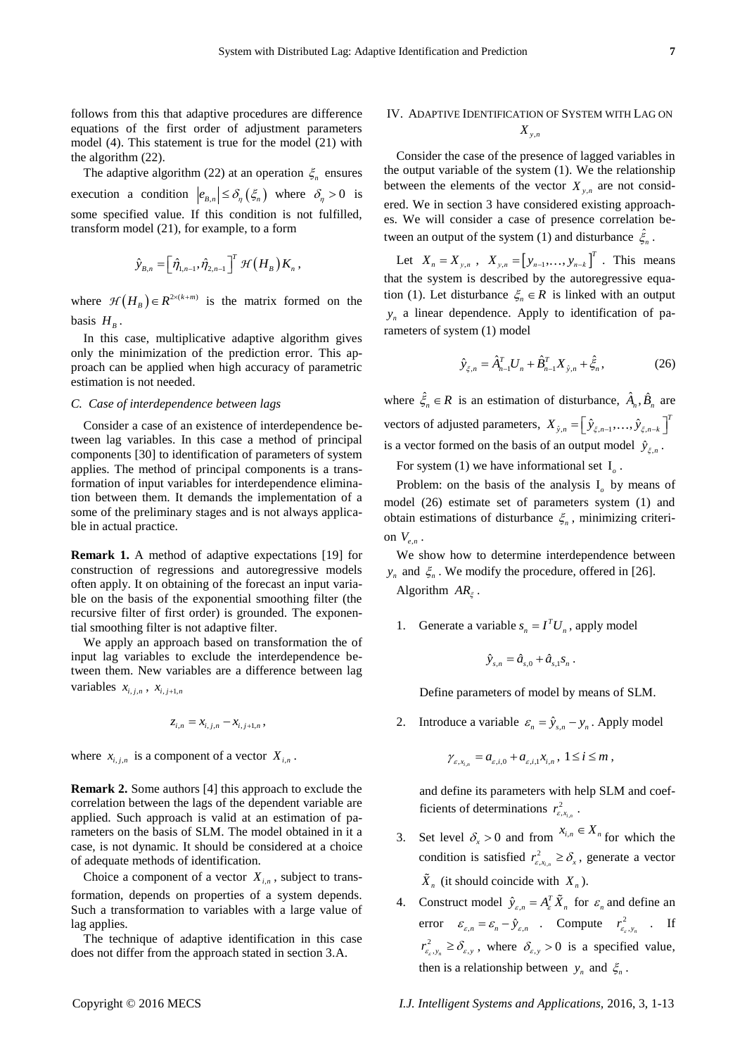follows from this that adaptive procedures are difference equations of the first order of adjustment parameters model (4). This statement is true for the model (21) with the algorithm (22).

The adaptive algorithm (22) at an operation  $\xi_n$  ensures execution a condition  $|e_{B,n}| \leq \delta_n(\xi_n)$  where  $\delta_n > 0$  is some specified value. If this condition is not fulfilled, transform model (21), for example, to a form

$$
\hat{y}_{B,n} = \left[\hat{\eta}_{1,n-1},\hat{\eta}_{2,n-1}\right]^T \mathcal{H}\left(H_B\right) K_n,
$$

where  $\mathcal{H}(H_B) \in R^{2 \times (k+m)}$  is the matrix formed on the basis  $H_B$ .

In this case, multiplicative adaptive algorithm gives only the minimization of the prediction error. This approach can be applied when high accuracy of parametric estimation is not needed.

#### *C. Case of interdependence between lags*

Consider a case of an existence of interdependence between lag variables. In this case a method of principal components [30] to identification of parameters of system applies. The method of principal components is a transformation of input variables for interdependence elimination between them. It demands the implementation of a some of the preliminary stages and is not always applicable in actual practice.

**Remark 1.** A method of adaptive expectations [19] for construction of regressions and autoregressive models often apply. It on obtaining of the forecast an input variable on the basis of the exponential smoothing filter (the recursive filter of first order) is grounded. The exponential smoothing filter is not adaptive filter.

We apply an approach based on transformation the of input lag variables to exclude the interdependence between them. New variables are a difference between lag variables  $x_{i,j,n}$ ,  $x_{i,j+1,n}$ 

$$
z_{i,n} = x_{i,j,n} - x_{i,j+1,n},
$$

where  $x_{i,j,n}$  is a component of a vector  $X_{i,n}$ .

**Remark 2.** Some authors [4] this approach to exclude the correlation between the lags of the dependent variable are applied. Such approach is valid at an estimation of parameters on the basis of SLM. The model obtained in it a case, is not dynamic. It should be considered at a choice of adequate methods of identification.

Choice a component of a vector  $X_{i,n}$ , subject to transformation, depends on properties of a system depends. Such a transformation to variables with a large value of lag applies.

The technique of adaptive identification in this case does not differ from the approach stated in section 3.A.

# IV. ADAPTIVE IDENTIFICATION OF SYSTEM WITH LAG ON *X yn*,

Consider the case of the presence of lagged variables in the output variable of the system (1). We the relationship between the elements of the vector  $X_{y,n}$  are not considered. We in section 3 have considered existing approaches. We will consider a case of presence correlation between an output of the system (1) and disturbance  $\hat{\xi}_n$ .

Let  $X_n = X_{y,n}$ ,  $X_{y,n} = [y_{n-1},..., y_{n-k}]^T$ . This means that the system is described by the autoregressive equation (1). Let disturbance  $\xi_n \in R$  is linked with an output *n y* a linear dependence. Apply to identification of parameters of system (1) model

$$
\hat{y}_{\xi,n} = \hat{A}_{n-1}^T U_n + \hat{B}_{n-1}^T X_{\hat{y},n} + \hat{\xi}_n, \qquad (26)
$$

where  $\hat{\xi}_n \in R$  is an estimation of disturbance,  $\hat{A}_n, \hat{B}_n$  are vectors of adjusted parameters,  $X_{\hat{y},n} = \left[\hat{y}_{\xi,n-1},...,\hat{y}_{\xi,n-k}\right]^T$ is a vector formed on the basis of an output model  $\hat{y}_{\xi,n}$ .

For system (1) we have informational set  $I_0$ .

Problem: on the basis of the analysis  $I_0$  by means of model (26) estimate set of parameters system (1) and obtain estimations of disturbance  $\xi_n$ , minimizing criterion  $V_{e,n}$ .

We show how to determine interdependence between  $y_n$  and  $\xi_n$ . We modify the procedure, offered in [26]. Algorithm  $AR_{\xi}$ .

1. Generate a variable  $s_n = I^T U_n$ , apply model

$$
\hat{y}_{s,n} = \hat{a}_{s,0} + \hat{a}_{s,1} s_n \ .
$$

Define parameters of model by means of SLM.

2. Introduce a variable  $\varepsilon_n = \hat{y}_{s,n} - y_n$ . Apply model

$$
\gamma_{\varepsilon,x_{i,n}} = a_{\varepsilon,i,0} + a_{\varepsilon,i,1}x_{i,n}, \ 1 \leq i \leq m,
$$

and define its parameters with help SLM and coefficients of determinations  $r_{\varepsilon,x_i}^2$  $r_{\varepsilon,x_{i,n}}^2$  .

- 3. Set level  $\delta_x > 0$  and from  $x_{i,n} \in X_n$  for which the condition is satisfied  $r_{\varepsilon,x_i}^2$  $r_{\varepsilon,x_{i,n}}^2 \geq \delta_x$ , generate a vector  $\hat{X}_n$  (it should coincide with  $X_n$ ).
- 4. Construct model  $\hat{y}_{\varepsilon,n} = A_{\varepsilon}^T \tilde{X}_n$  for  $\varepsilon_n$  and define an error  $\varepsilon_{\varepsilon,n} = \varepsilon_n - \hat{y}_{\varepsilon,n}$  . Compute  $r_{\varepsilon_{\varepsilon},y_n}^2$  . If  $r_{\varepsilon_{s}, y_{n}}^{2} \ge \delta_{\varepsilon, y}$ , where  $\delta_{\varepsilon, y} > 0$  is a specified value, then is a relationship between  $y_n$  and  $\xi_n$ .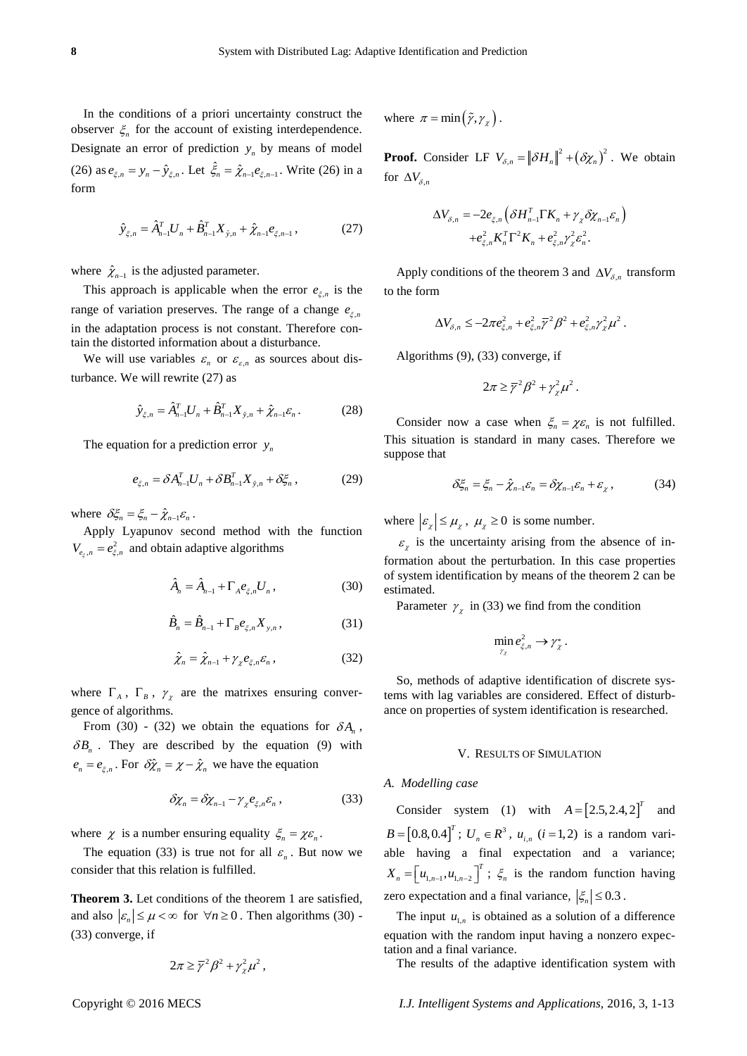In the conditions of a priori uncertainty construct the observer  $\zeta_n$  for the account of existing interdependence. Designate an error of prediction  $y_n$  by means of model (26) as  $e_{\xi,n} = y_n - \hat{y}_{\xi,n}$ . Let  $\hat{\xi}_n = \hat{\chi}_{n-1} e_{\xi,n-1}$ . Write (26) in a form

$$
\hat{y}_{\xi,n} = \hat{A}_{n-1}^T U_n + \hat{B}_{n-1}^T X_{\hat{y},n} + \hat{\chi}_{n-1} e_{\xi,n-1},
$$
\n(27)

where  $\hat{\chi}_{n-1}$  is the adjusted parameter.

This approach is applicable when the error  $e_{\xi,n}$  is the range of variation preserves. The range of a change  $e_{\xi,n}$ in the adaptation process is not constant. Therefore contain the distorted information about a disturbance.

We will use variables  $\varepsilon_n$  or  $\varepsilon_{\varepsilon,n}$  as sources about disturbance. We will rewrite (27) as

$$
\hat{y}_{\xi,n} = \hat{A}_{n-1}^T U_n + \hat{B}_{n-1}^T X_{\hat{y},n} + \hat{\chi}_{n-1} \varepsilon_n.
$$
 (28)

The equation for a prediction error  $y_n$ 

$$
e_{\xi,n} = \delta A_{n-1}^T U_n + \delta B_{n-1}^T X_{\hat{y},n} + \delta \xi_n, \qquad (29)
$$

where  $\delta \xi_n = \xi_n - \hat{\chi}_{n-1} \varepsilon_n$ .

Apply Lyapunov second method with the function  $V_{e_{\xi},n} = e_{\xi,n}^2$  and obtain adaptive algorithms

$$
\hat{A}_n = \hat{A}_{n-1} + \Gamma_A e_{\xi,n} U_n, \qquad (30)
$$

$$
\hat{B}_n = \hat{B}_{n-1} + \Gamma_B e_{\xi,n} X_{y,n},
$$
\n(31)

$$
\hat{\chi}_n = \hat{\chi}_{n-1} + \gamma_{\chi} e_{\xi,n} \varepsilon_n, \qquad (32)
$$

where  $\Gamma_A$ ,  $\Gamma_B$ ,  $\gamma_\chi$  are the matrixes ensuring convergence of algorithms.

From (30) - (32) we obtain the equations for  $\delta A_n$ ,  $\delta B_n$ . They are described by the equation (9) with  $e_n = e_{\xi,n}$ . For  $\delta \hat{\chi}_n = \chi - \hat{\chi}_n$  we have the equation

$$
\delta \chi_n = \delta \chi_{n-1} - \gamma_\chi e_{\xi,n} \varepsilon_n \,, \tag{33}
$$

where  $\chi$  is a number ensuring equality  $\xi_n = \chi \varepsilon_n$ .

The equation (33) is true not for all  $\varepsilon_n$ . But now we consider that this relation is fulfilled.

**Theorem 3.** Let conditions of the theorem 1 are satisfied, and also  $|\varepsilon_n| \le \mu < \infty$  for  $\forall n \ge 0$ . Then algorithms (30) -(33) converge, if

$$
2\pi \geq \overline{\gamma}^2 \beta^2 + \gamma_\chi^2 \mu^2 \,,
$$

where  $\pi = \min(\tilde{\gamma}, \gamma_{\chi})$ .

**Proof.** Consider LF  $V_{\delta,n} = ||\delta H_n||^2 + (\delta \chi_n)^2$ . We obtain for  $\Delta V_{\delta,n}$ 

$$
\Delta V_{\delta,n} = -2e_{\xi,n} \left( \delta H_{n-1}^T \Gamma K_n + \gamma_{\chi} \delta \chi_{n-1} \varepsilon_n \right)
$$

$$
+ e_{\xi,n}^2 K_n^T \Gamma^2 K_n + e_{\xi,n}^2 \gamma_{\chi}^2 \varepsilon_n^2.
$$

Apply conditions of the theorem 3 and  $\Delta V_{\delta,n}$  transform to the form

$$
\Delta V_{\delta,n} \le -2\pi e_{\xi,n}^2 + e_{\xi,n}^2 \overline{\gamma}^2 \beta^2 + e_{\xi,n}^2 \gamma_{\chi}^2 \mu^2.
$$

Algorithms (9), (33) converge, if

$$
2\pi \geq \overline{\gamma}^2 \beta^2 + \gamma_{\chi}^2 \mu^2.
$$

Consider now a case when  $\xi_n = \chi \varepsilon_n$  is not fulfilled. This situation is standard in many cases. Therefore we suppose that

$$
\delta \xi_n = \xi_n - \hat{\chi}_{n-1} \varepsilon_n = \delta \chi_{n-1} \varepsilon_n + \varepsilon_{\chi}, \qquad (34)
$$

where  $|\varepsilon_x| \le \mu_{\chi}$ ,  $\mu_{\chi} \ge 0$  is some number.

 $\varepsilon_{\chi}$  is the uncertainty arising from the absence of information about the perturbation. In this case properties of system identification by means of the theorem 2 can be estimated.

Parameter  $\gamma_{\chi}$  in (33) we find from the condition

$$
\min_{\gamma_{\chi}} e_{\xi,n}^2 \to \gamma_{\chi}^*.
$$

So, methods of adaptive identification of discrete systems with lag variables are considered. Effect of disturbance on properties of system identification is researched.

#### V. RESULTS OF SIMULATION

#### *A. Modelling case*

Consider system (1) with  $A = [2.5, 2.4, 2]^T$  and  $B = [0.8, 0.4]^T$ ;  $U_n \in R^3$ ,  $u_{i,n}$  ( $i = 1, 2$ ) is a random variable having a final expectation and a variance;  $X_n = \left[ u_{1,n-1}, u_{1,n-2} \right]^T$ ;  $\xi_n$  is the random function having zero expectation and a final variance,  $|\xi_n| \leq 0.3$ .

The input  $u_{1,n}$  is obtained as a solution of a difference equation with the random input having a nonzero expectation and a final variance.

The results of the adaptive identification system with

Copyright © 2016 MECS *I.J. Intelligent Systems and Applications,* 2016, 3, 1-13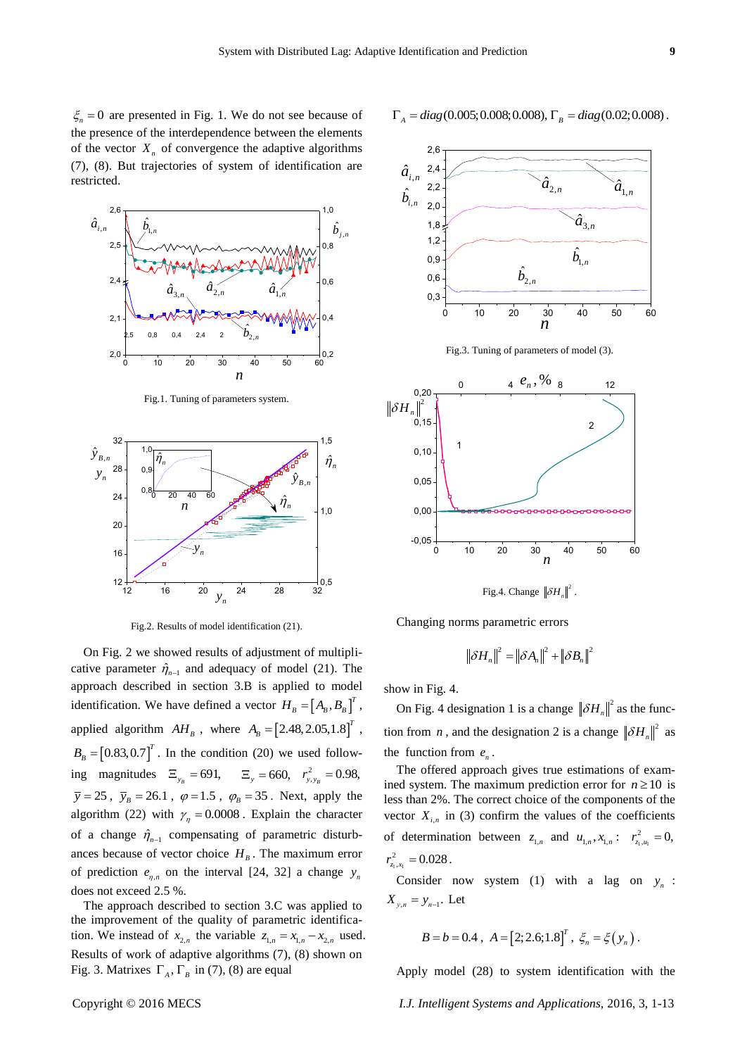$\xi_n = 0$  are presented in Fig. 1. We do not see because of the presence of the interdependence between the elements of the vector  $X_n$  of convergence the adaptive algorithms (7), (8). But trajectories of system of identification are restricted.



Fig.1. Tuning of parameters system.



Fig.2. Results of model identification (21).

Copyright Copyright Eq. (2, 16 and the control intelligent Systems and Copyright Copyright Copyright Copyright Copyright Copyright Copyright Copyright Copyright Copyright Copyright Copyright Copyright Copyright Copyright On Fig. 2 we showed results of adjustment of multiplicative parameter  $\hat{\eta}_{n-1}$  and adequacy of model (21). The approach described in section 3.B is applied to model identification. We have defined a vector  $H_B = [A_B, B_B]^T$ , applied algorithm  $AH_B$ , where  $A_B = [2.48, 2.05, 1.8]^T$ ,  $B<sub>B</sub> = [0.83, 0.7]<sup>T</sup>$ . In the condition (20) we used following magnitudes  $\Xi_{y_B} = 691$ ,  $\Xi_y = 660$ ,  $r_{y, y_B}^2 = 0.98$ ,  $\overline{y} = 25$ ,  $\overline{y}_B = 26.1$ ,  $\varphi = 1.5$ ,  $\varphi_B = 35$ . Next, apply the algorithm (22) with  $\gamma_n = 0.0008$ . Explain the character of a change  $\hat{\eta}_{n-1}$  compensating of parametric disturbances because of vector choice  $H_B$ . The maximum error of prediction  $e_{\eta,n}$  on the interval [24, 32] a change  $y_n$ does not exceed 2.5 %.

The approach described to section 3.C was applied to the improvement of the quality of parametric identification. We instead of  $x_{2,n}$  the variable  $z_{1,n} = x_{1,n} - x_{2,n}$  used. Results of work of adaptive algorithms (7), (8) shown on Fig. 3. Matrixes  $\Gamma_A$ ,  $\Gamma_B$  in (7), (8) are equal

$$
\mathcal{L}^{\mathcal{L}}(\mathcal{L}^{\mathcal{L}}(\mathcal{L}^{\mathcal{L}}(\mathcal{L}^{\mathcal{L}}(\mathcal{L}^{\mathcal{L}}(\mathcal{L}^{\mathcal{L}}(\mathcal{L}^{\mathcal{L}}(\mathcal{L}^{\mathcal{L}}(\mathcal{L}^{\mathcal{L}}(\mathcal{L}^{\mathcal{L}}(\mathcal{L}^{\mathcal{L}}(\mathcal{L}^{\mathcal{L}}(\mathcal{L}^{\mathcal{L}}(\mathcal{L}^{\mathcal{L}}(\mathcal{L}^{\mathcal{L}}(\mathcal{L}^{\mathcal{L}}(\mathcal{L}^{\mathcal{L}}(\mathcal{L}^{\mathcal{L}}(\mathcal{L}^{\mathcal{L}}(\mathcal{L}^{\mathcal{L}}(\mathcal{L}^{\mathcal{L}}(\mathcal{L}^{\mathcal{L}}(\mathcal{L}^{\mathcal{L}}(\mathcal{L}^{\mathcal{L}}(\mathcal{L}^{\mathcal{L}}(\mathcal{L}^{\mathcal{L}}(\mathcal{L}^{\mathcal{L}}(\mathcal{L}^{\mathcal{L}}(\mathcal{L}^{\mathcal{L}}(\mathcal{L}^{\mathcal{L}}(\mathcal{L}^{\mathcal{L}}(\mathcal{L}^{\mathcal{L}}(\mathcal{L}^{\mathcal{L}}(\mathcal{L}^{\mathcal{L}}(\mathcal{L}^{\mathcal{L}}(\mathcal{L}^{\mathcal{L}}(\mathcal{L}^{\mathcal{L}}(\mathcal{L}^{\mathcal{L}}(\mathcal{L}^{\mathcal{L}}(\mathcal{L}^{\mathcal{L}}(\mathcal{L}^{\mathcal{L}}(\mathcal{L}^{\mathcal{L}}(\mathcal{L}^{\mathcal{L}}(\mathcal{L}^{\mathcal{L}}(\mathcal{L}^{\mathcal{L}}(\mathcal{L}^{\mathcal{L}}(\mathcal{L}^{\mathcal{L}}(\mathcal{L}^{\mathcal{L}}(\mathcal{L}^{\mathcal{L}}(\mathcal{L}^{\mathcal{L}}(\mathcal{L}^{\mathcal{L}}(\mathcal{L}^{\mathcal{L}}(\mathcal{L}^{\mathcal{L}}(\mathcal{L}^{\mathcal{L}}(\mathcal{L}^{\mathcal{L}}(\mathcal{L}^{\mathcal{L}}(\mathcal{L}^{\mathcal{L}}(\mathcal{L}^{\mathcal{L}}(\mathcal{L}
$$



 $\hat{a}_{2,n}$ 

 $\dot{b}_{2,n}$ 

Fig.3. Tuning of parameters of model (3).

0 10 20 30 40 50 60

*n*

 $\hat{b}_{1,n}$  **b** 

 $\hat{a}_{3,n}$  **a** 



Fig.4. Change  $\left\|\delta H_n\right\|^2$ .

Changing norms parametric errors

$$
\left\|\delta H_n\right\|^2 = \left\|\delta A_n\right\|^2 + \left\|\delta B_n\right\|^2
$$

show in Fig. 4.

0,3 0,6 0,9 1,2 1,8 2,0 2,2 2,4

 $\hat{b}_{_{i,n}}$ 

On Fig. 4 designation 1 is a change  $\|\delta H_n\|^2$  as the function from *n*, and the designation 2 is a change  $\|\delta H_n\|^2$  as the function from  $e_n$ .

The offered approach gives true estimations of examined system. The maximum prediction error for  $n \ge 10$  is less than 2%. The correct choice of the components of the vector  $X_{i,n}$  in (3) confirm the values of the coefficients of determination between  $z_{1,n}$  and  $u_{1,n}$ ,  $x_{1,n}$ :  $r_{z_1,u_1}^2$  $r_{z_1,u_1}^2=0,$  $\cdot_1$ ,  $x_1$  $r_{z_1,x_1}^2 = 0.028$ .

Consider now system (1) with a lag on  $y_n$ :  $X_{y,n} = y_{n-1}$ . Let

$$
B = b = 0.4 \; , \; A = [2; 2.6; 1.8]^T \; , \; \xi_n = \xi(y_n) \; .
$$

Apply model (28) to system identification with the

 $\hat{a}^{\,}_{1,n}$  **a**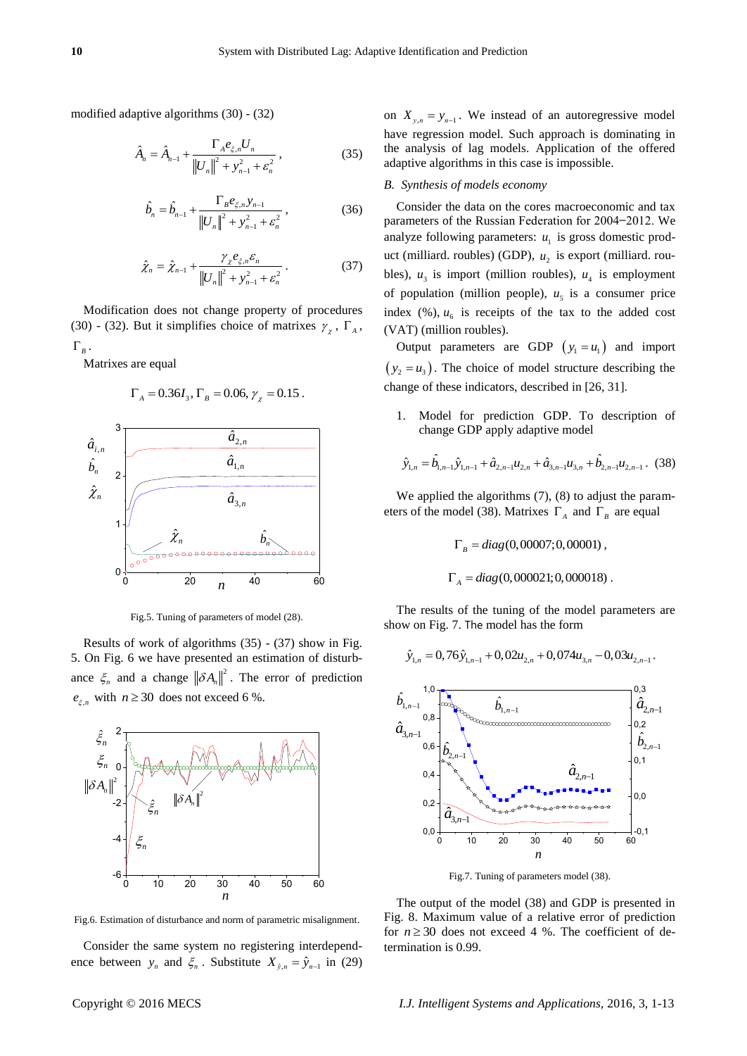modified adaptive algorithms (30) - (32)

$$
\hat{A}_n = \hat{A}_{n-1} + \frac{\Gamma_A e_{\xi,n} U_n}{\left\|U_n\right\|^2 + y_{n-1}^2 + \varepsilon_n^2},\tag{35}
$$

$$
\hat{b}_n = \hat{b}_{n-1} + \frac{\Gamma_B e_{\xi,n} y_{n-1}}{\left\| U_n \right\|^2 + y_{n-1}^2 + \varepsilon_n^2},\tag{36}
$$

$$
\hat{\chi}_n = \hat{\chi}_{n-1} + \frac{\gamma_{\chi} e_{\xi,n} \varepsilon_n}{\left\|U_n\right\|^2 + y_{n-1}^2 + \varepsilon_n^2} \,. \tag{37}
$$

Modification does not change property of procedures (30) - (32). But it simplifies choice of matrixes  $\gamma_{\chi}$ ,  $\Gamma_{A}$ ,  $\Gamma_B$ .

Matrixes are equal

$$
\Gamma_A = 0.36I_3
$$
,  $\Gamma_B = 0.06$ ,  $\gamma_\chi = 0.15$ .



Fig.5. Tuning of parameters of model (28).

Results of work of algorithms (35) - (37) show in Fig. 5. On Fig. 6 we have presented an estimation of disturbance  $\zeta_n$  and a change  $\|\delta A_n\|^2$ . The error of prediction  $e_{\xi,n}$  with  $n \geq 30$  does not exceed 6 %.



Fig.6. Estimation of disturbance and norm of parametric misalignment.

Consider the same system no registering interdependence between  $y_n$  and  $\xi_n$ . Substitute  $X_{\hat{y},n} = \hat{y}_{n-1}$  in (29)

on  $X_{y,n} = y_{n-1}$ . We instead of an autoregressive model have regression model. Such approach is dominating in the analysis of lag models. Application of the offered adaptive algorithms in this case is impossible.

### *B. Synthesis of models economy*

Consider the data on the cores macroeconomic and tax parameters of the Russian Federation for 2004–2012. We analyze following parameters:  $u_1$  is gross domestic product (milliard. roubles) (GDP),  $u_2$  is export (milliard. roubles),  $u_3$  is import (million roubles),  $u_4$  is employment of population (million people),  $u<sub>5</sub>$  is a consumer price index  $(\%)$ ,  $u_6$  is receipts of the tax to the added cost (VAT) (million roubles).

Output parameters are GDP  $(y_1 = u_1)$  and import  $(y_2 = u_3)$ . The choice of model structure describing the change of these indicators, described in [26, 31].

1. Model for prediction GDP. To description of change GDP apply adaptive model

$$
\hat{y}_{1,n} = \hat{b}_{1,n-1}\hat{y}_{1,n-1} + \hat{a}_{2,n-1}u_{2,n} + \hat{a}_{3,n-1}u_{3,n} + \hat{b}_{2,n-1}u_{2,n-1}.
$$
 (38)

We applied the algorithms  $(7)$ ,  $(8)$  to adjust the parameters of the model (38). Matrixes  $\Gamma_A$  and  $\Gamma_B$  are equal

$$
\Gamma_B = diag(0,00007; 0,00001),
$$
  

$$
\Gamma_A = diag(0,000021; 0,000018).
$$

The results of the tuning of the model parameters are show on Fig. 7. The model has the form

$$
\hat{y}_{1,n} = 0,76\hat{y}_{1,n-1} + 0,02u_{2,n} + 0,074u_{3,n} - 0,03u_{2,n-1}.
$$



Fig.7. Tuning of parameters model (38).

The output of the model (38) and GDP is presented in Fig. 8. Maximum value of a relative error of prediction for  $n \ge 30$  does not exceed 4 %. The coefficient of determination is 0.99.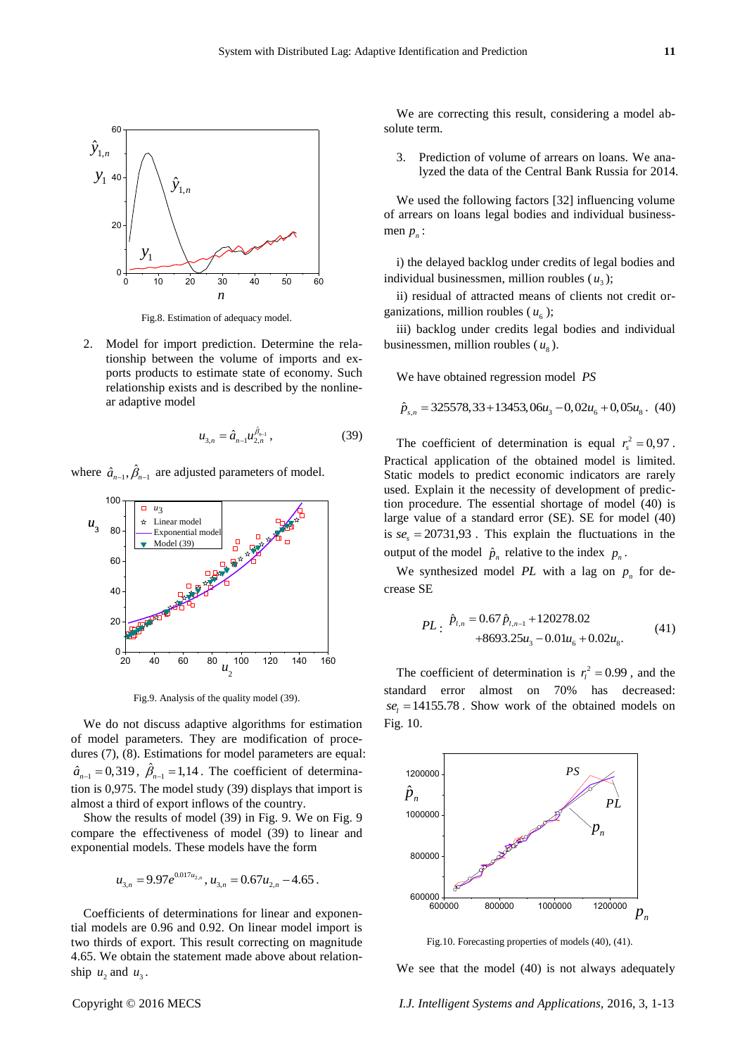

Fig.8. Estimation of adequacy model.

2. Model for import prediction. Determine the relationship between the volume of imports and exports products to estimate state of economy. Such relationship exists and is described by the nonlinear adaptive model

$$
u_{3,n} = \hat{a}_{n-1} u_{2,n}^{\beta_{n-1}}, \tag{39}
$$

where  $\hat{a}_{n-1}, \hat{\beta}_{n-1}$  are adjusted parameters of model.



Fig.9. Analysis of the quality model (39).

We do not discuss adaptive algorithms for estimation of model parameters. They are modification of procedures (7), (8). Estimations for model parameters are equal:  $\hat{a}_{n-1} = 0,319$ ,  $\hat{\beta}_{n-1} = 1,14$ . The coefficient of determination is 0,975. The model study (39) displays that import is almost a third of export inflows of the country.

Show the results of model (39) in Fig. 9. We on Fig. 9 compare the effectiveness of model (39) to linear and exponential models. These models have the form

$$
u_{3,n} = 9.97e^{0.017u_{2,n}}, u_{3,n} = 0.67u_{2,n} - 4.65.
$$

Coefficients of determinations for linear and exponential models are 0.96 and 0.92. On linear model import is two thirds of export. This result correcting on magnitude 4.65. We obtain the statement made above about relationship  $u_2$  and  $u_3$ .

We are correcting this result, considering a model absolute term.

3. Prediction of volume of arrears on loans. We analyzed the data of the Central Bank Russia for 2014.

We used the following factors [32] influencing volume of arrears on loans legal bodies and individual businessmen  $p_n$ :

i) the delayed backlog under credits of legal bodies and individual businessmen, million roubles  $(u_3)$ ;

ii) residual of attracted means of clients not credit organizations, million roubles  $(u_6)$ ;

iii) backlog under credits legal bodies and individual businessmen, million roubles  $(u<sub>8</sub>)$ .

We have obtained regression model *PS*

$$
\hat{p}_{s,n} = 325578, 33 + 13453, 06u_3 - 0, 02u_6 + 0, 05u_8. \tag{40}
$$

The coefficient of determination is equal  $r_s^2 = 0.97$ . Practical application of the obtained model is limited. Static models to predict economic indicators are rarely used. Explain it the necessity of development of prediction procedure. The essential shortage of model (40) is large value of a standard error (SE). SE for model (40) is  $se<sub>s</sub> = 20731,93$ . This explain the fluctuations in the output of the model  $\hat{p}_n$  relative to the index  $p_n$ .

We synthesized model  $PL$  with a lag on  $p_n$  for decrease SE

$$
PL: \ \hat{p}_{l,n} = 0.67 \hat{p}_{l,n-1} + 120278.02 + 8693.25 u_3 - 0.01 u_6 + 0.02 u_8. \tag{41}
$$

The coefficient of determination is  $r_l^2 = 0.99$ , and the standard error almost on 70% has decreased:  $se<sub>l</sub> = 14155.78$ . Show work of the obtained models on Fig. 10.



Fig.10. Forecasting properties of models (40), (41).

We see that the model (40) is not always adequately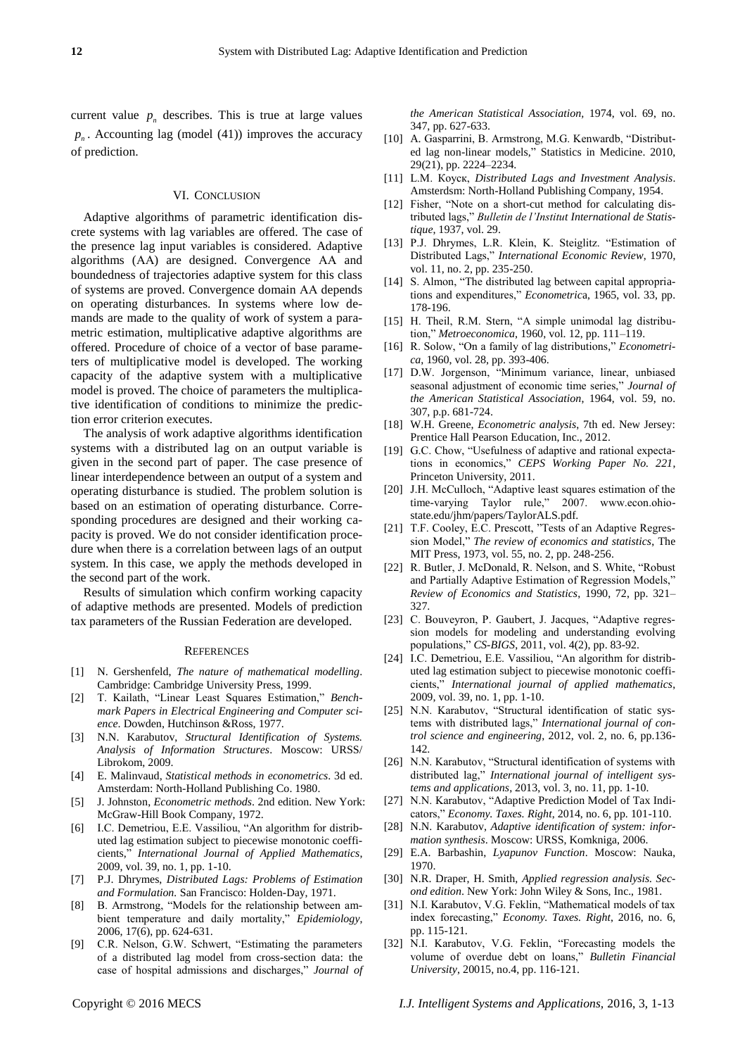current value  $p_n$  describes. This is true at large values  $p_n$ . Accounting lag (model (41)) improves the accuracy of prediction.

#### VI. CONCLUSION

Adaptive algorithms of parametric identification discrete systems with lag variables are offered. The case of the presence lag input variables is considered. Adaptive algorithms (АА) are designed. Convergence АА and boundedness of trajectories adaptive system for this class of systems are proved. Convergence domain АА depends on operating disturbances. In systems where low demands are made to the quality of work of system a parametric estimation, multiplicative adaptive algorithms are offered. Procedure of choice of a vector of base parameters of multiplicative model is developed. The working capacity of the adaptive system with a multiplicative model is proved. The choice of parameters the multiplicative identification of conditions to minimize the prediction error criterion executes.

The analysis of work adaptive algorithms identification systems with a distributed lag on an output variable is given in the second part of paper. The case presence of linear interdependence between an output of a system and operating disturbance is studied. The problem solution is based on an estimation of operating disturbance. Corresponding procedures are designed and their working capacity is proved. We do not consider identification procedure when there is a correlation between lags of an output system. In this case, we apply the methods developed in the second part of the work.

Results of simulation which confirm working capacity of adaptive methods are presented. Models of prediction tax parameters of the Russian Federation are developed.

#### **REFERENCES**

- [1] N. Gershenfeld, *The nature of mathematical modelling*. Cambridge: Cambridge University Press, 1999.
- [2] T. Kailath, "Linear Least Squares Estimation," *Benchmark Papers in Electrical Engineering and Computer science*. Dowden, Hutchinson &Ross, 1977.
- [3] N.N. Karabutov, *Structural Identification of Systems. Analysis of Information Structures*. Moscow: URSS/ Librokom, 2009.
- [4] E. Malinvaud, *Statistical methods in econometrics*. 3d ed. Amsterdam: North-Holland Publishing Co. 1980.
- [5] J. [Johnston,](http://www.worldcat.org/search?q=au%3AJohnston%2C+J.&qt=hot_author) *Econometric methods*. 2nd edition. New York: McGraw-Hill Book Company, 1972.
- [6] I.C. Demetriou, E.E. Vassiliou, "An algorithm for distributed lag estimation subject to piecewise monotonic coefficients," *International Journal of Applied Mathematics*, 2009, vol. 39, no. 1, pp. 1-10.
- [7] P.J. Dhrymes, *Distributed Lags: Problems of Estimation and Formulation.* San Francisco: Holden-Day, 1971.
- [8] B. Armstrong, "Models for the relationship between ambient temperature and daily mortality," *Epidemiology*, 2006, 17(6), pp. 624-631.
- [9] C.R. Nelson, G.W. Schwert, "Estimating the parameters of a distributed lag model from cross-section data: the case of hospital admissions and discharges," *Journal of*

*the American Statistical Association,* 1974, vol. 69, no. 347, pp. 627-633.

- [10] A. Gasparrini, B. Armstrong, M.G. Kenwardb, "Distributed lag non-linear models," Statistics in Medicine. 2010, 29(21), pp. 2224–2234.
- [11] L.M. Коуск, *Distributed Lags and Investment Analysis*. Amsterdsm: North-Holland Publishing Company, 1954.
- [12] Fisher, "Note on a short-cut method for calculating distributed lags," *Bulletin de l'Institut International de Statistique*, 1937, vol. 29.
- [13] P.J. Dhrymes, L.R. Klein, K. Steiglitz. "Estimation of Distributed Lags," *International Economic Review*, 1970, vol. 11, no. 2, pp. 235-250.
- [14] S. Almon, "The distributed lag between capital appropriations and expenditures," *Econometric*a, 1965, vol. 33, pp. 178-196.
- [15] H. Theil, R.M. Stern, "A simple unimodal lag distribution," *Metroeconomica*, 1960, vol. 12, pp. 111–119.
- [16] R. Solow, "On a family of lag distributions," *Econometrica*, 1960, vol. 28, pp. 393-406.
- [17] D.W. Jorgenson, "Minimum variance, linear, unbiased seasonal adjustment of economic time series," *Journal of the American Statistical Association*, 1964, vol. 59, no. 307, p.p. 681-724.
- [18] W.H. Greene, *Econometric analysis*, 7th ed. New Jersey: Prentice Hall Pearson Education, Inc., 2012.
- [19] G.C. Chow, "Usefulness of adaptive and rational expectations in economics," *CEPS Working Paper No. 221*, Princeton University, 2011.
- [20] J.H. McCulloch, "Adaptive least squares estimation of the time-varying Taylor rule," 2007. www.econ.ohiostate.edu/jhm/papers/TaylorALS.pdf.
- [21] T.F. Cooley, E.C. Prescott, "Tests of an Adaptive Regression Model," *The review of economics and statistics*, The MIT Press, 1973, vol. 55, no. 2, pp. 248-256.
- [22] R. Butler, J. McDonald, R. Nelson, and S. White, "Robust and Partially Adaptive Estimation of Regression Models," *Review of Economics and Statistics*, 1990, 72, pp. 321– 327.
- [23] C. Bouveyron, P. Gaubert, J. Jacques, "Adaptive regression models for modeling and understanding evolving populations," *CS-BIGS*, 2011, vol. 4(2), pp. 83-92.
- [24] I.C. Demetriou, E.E. Vassiliou, "An algorithm for distributed lag estimation subject to piecewise monotonic coefficients," *International journal of applied mathematics*, 2009, vol. 39, no. 1, pp. 1-10.
- [25] N.N. Karabutov, "Structural identification of static systems with distributed lags," *International journal of control science and engineering*, 2012, vol. 2, no. 6, pp.136- 142.
- [26] N.N. Karabutov, "Structural identification of systems with distributed lag," *International journal of intelligent systems and applications*, 2013, vol. 3, no. 11, pp. 1-10.
- [27] N.N. Karabutov, "Adaptive Prediction Model of Tax Indicators," *Economy. Taxes. Right*, 2014, no. 6, pp. 101-110.
- [28] N.N. Karabutov, *Adaptive identification of system: information synthesis*. Moscow: URSS, Komkniga, 2006.
- [29] E.A. Barbashin, *Lyapunov Function*. Moscow: Nauka, 1970.
- [30] N.R. Draper, H. Smith, *Applied regression analysis. Second edition*. New York: John Wiley & Sons, Inc., 1981.
- [31] N.I. Karabutov, V.G. Feklin, "Mathematical models of tax index forecasting," *Economy. Taxes. Right*, 2016, no. 6, pp. 115-121.
- [32] N.I. Karabutov, V.G. Feklin, "Forecasting models the volume of overdue debt on loans," *Bulletin Financial University*, 20015, no.4, pp. 116-121.